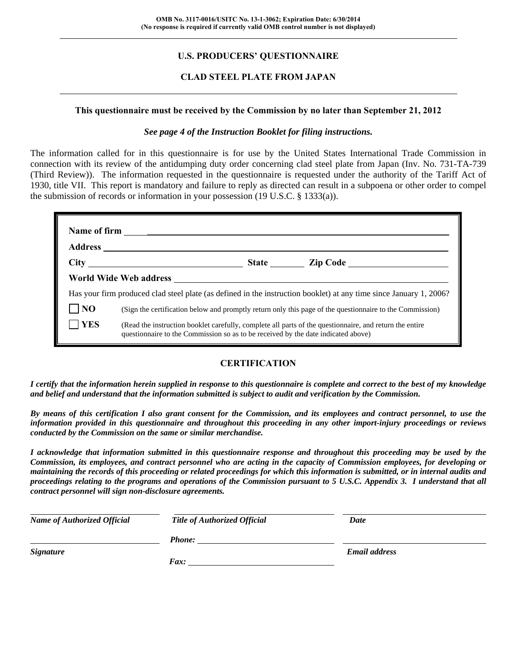## **U.S. PRODUCERS' QUESTIONNAIRE**

### **CLAD STEEL PLATE FROM JAPAN**

#### **This questionnaire must be received by the Commission by no later than September 21, 2012**

#### *See page 4 of the Instruction Booklet for filing instructions.*

The information called for in this questionnaire is for use by the United States International Trade Commission in connection with its review of the antidumping duty order concerning clad steel plate from Japan (Inv. No. 731-TA-739 (Third Review)). The information requested in the questionnaire is requested under the authority of the Tariff Act of 1930, title VII. This report is mandatory and failure to reply as directed can result in a subpoena or other order to compel the submission of records or information in your possession (19 U.S.C. § 1333(a)).

|                |                                                                                                                                                                                              | State <u>Lip Code</u> |
|----------------|----------------------------------------------------------------------------------------------------------------------------------------------------------------------------------------------|-----------------------|
|                | World Wide Web address                                                                                                                                                                       |                       |
|                | Has your firm produced clad steel plate (as defined in the instruction booklet) at any time since January 1, 2006?                                                                           |                       |
| N <sub>O</sub> | (Sign the certification below and promptly return only this page of the questionnaire to the Commission)                                                                                     |                       |
| <b>YES</b>     | (Read the instruction booklet carefully, complete all parts of the questionnaire, and return the entire<br>questionnaire to the Commission so as to be received by the date indicated above) |                       |

## **CERTIFICATION**

*I certify that the information herein supplied in response to this questionnaire is complete and correct to the best of my knowledge and belief and understand that the information submitted is subject to audit and verification by the Commission.* 

*By means of this certification I also grant consent for the Commission, and its employees and contract personnel, to use the information provided in this questionnaire and throughout this proceeding in any other import-injury proceedings or reviews conducted by the Commission on the same or similar merchandise.* 

*I acknowledge that information submitted in this questionnaire response and throughout this proceeding may be used by the Commission, its employees, and contract personnel who are acting in the capacity of Commission employees, for developing or maintaining the records of this proceeding or related proceedings for which this information is submitted, or in internal audits and proceedings relating to the programs and operations of the Commission pursuant to 5 U.S.C. Appendix 3. I understand that all contract personnel will sign non-disclosure agreements.* 

| <b>Name of Authorized Official</b> | <b>Title of Authorized Official</b> | Date                 |  |
|------------------------------------|-------------------------------------|----------------------|--|
|                                    | <b>Phone:</b>                       |                      |  |
| <b>Signature</b>                   |                                     | <b>Email address</b> |  |
|                                    | Fax:                                |                      |  |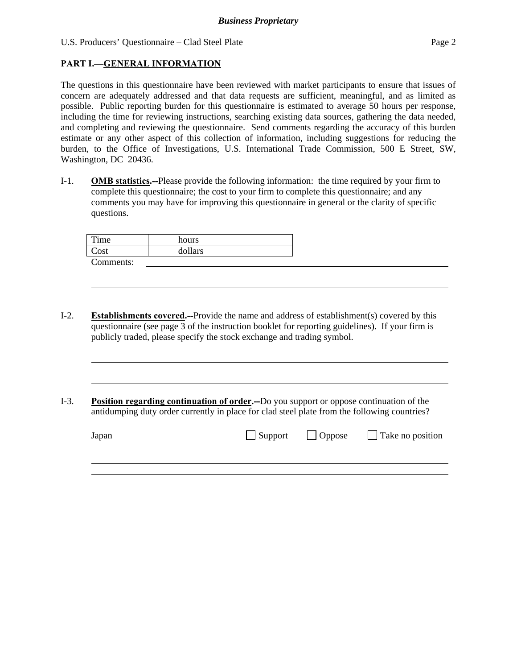## **PART I.—GENERAL INFORMATION**

l

The questions in this questionnaire have been reviewed with market participants to ensure that issues of concern are adequately addressed and that data requests are sufficient, meaningful, and as limited as possible. Public reporting burden for this questionnaire is estimated to average 50 hours per response, including the time for reviewing instructions, searching existing data sources, gathering the data needed, and completing and reviewing the questionnaire. Send comments regarding the accuracy of this burden estimate or any other aspect of this collection of information, including suggestions for reducing the burden, to the Office of Investigations, U.S. International Trade Commission, 500 E Street, SW, Washington, DC 20436.

I-1. **OMB statistics.--**Please provide the following information: the time required by your firm to complete this questionnaire; the cost to your firm to complete this questionnaire; and any comments you may have for improving this questionnaire in general or the clarity of specific questions.

| Time          | hours   |
|---------------|---------|
| $\text{Cost}$ | dollars |
| Comments:     |         |

- I-2. **Establishments covered.--**Provide the name and address of establishment(s) covered by this questionnaire (see page 3 of the instruction booklet for reporting guidelines). If your firm is publicly traded, please specify the stock exchange and trading symbol.
- I-3. **Position regarding continuation of order.--**Do you support or oppose continuation of the antidumping duty order currently in place for clad steel plate from the following countries?

| Japan | $\Box$ Support $\Box$ Oppose | $\Box$ Take no position |
|-------|------------------------------|-------------------------|
|       |                              |                         |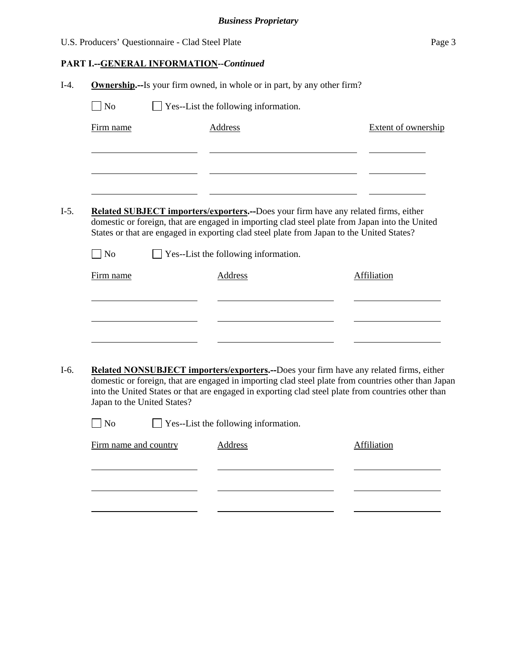| U.S. Producers' Questionnaire - Clad Steel Plate | Page 3 |
|--------------------------------------------------|--------|
|--------------------------------------------------|--------|

# **PART I.--GENERAL INFORMATION***--Continued*

| Yes--List the following information.<br>N <sub>o</sub><br><b>Address</b><br>Firm name<br>Related SUBJECT importers/exporters.--Does your firm have any related firms, either<br>$I-5.$<br>domestic or foreign, that are engaged in importing clad steel plate from Japan into the United<br>States or that are engaged in exporting clad steel plate from Japan to the United States?<br>$\neg$ No<br>$\Box$ Yes--List the following information.<br>Firm name<br><b>Address</b><br>Affiliation<br>Related NONSUBJECT importers/exporters.--Does your firm have any related firms, either<br>I-6.<br>domestic or foreign, that are engaged in importing clad steel plate from countries other than Japan<br>into the United States or that are engaged in exporting clad steel plate from countries other than<br>Japan to the United States?<br>No |                                      | <b>Extent of ownership</b> |
|-----------------------------------------------------------------------------------------------------------------------------------------------------------------------------------------------------------------------------------------------------------------------------------------------------------------------------------------------------------------------------------------------------------------------------------------------------------------------------------------------------------------------------------------------------------------------------------------------------------------------------------------------------------------------------------------------------------------------------------------------------------------------------------------------------------------------------------------------------|--------------------------------------|----------------------------|
|                                                                                                                                                                                                                                                                                                                                                                                                                                                                                                                                                                                                                                                                                                                                                                                                                                                     |                                      |                            |
|                                                                                                                                                                                                                                                                                                                                                                                                                                                                                                                                                                                                                                                                                                                                                                                                                                                     |                                      |                            |
|                                                                                                                                                                                                                                                                                                                                                                                                                                                                                                                                                                                                                                                                                                                                                                                                                                                     |                                      |                            |
|                                                                                                                                                                                                                                                                                                                                                                                                                                                                                                                                                                                                                                                                                                                                                                                                                                                     |                                      |                            |
|                                                                                                                                                                                                                                                                                                                                                                                                                                                                                                                                                                                                                                                                                                                                                                                                                                                     |                                      |                            |
|                                                                                                                                                                                                                                                                                                                                                                                                                                                                                                                                                                                                                                                                                                                                                                                                                                                     |                                      |                            |
|                                                                                                                                                                                                                                                                                                                                                                                                                                                                                                                                                                                                                                                                                                                                                                                                                                                     |                                      |                            |
|                                                                                                                                                                                                                                                                                                                                                                                                                                                                                                                                                                                                                                                                                                                                                                                                                                                     |                                      |                            |
|                                                                                                                                                                                                                                                                                                                                                                                                                                                                                                                                                                                                                                                                                                                                                                                                                                                     |                                      |                            |
|                                                                                                                                                                                                                                                                                                                                                                                                                                                                                                                                                                                                                                                                                                                                                                                                                                                     |                                      |                            |
|                                                                                                                                                                                                                                                                                                                                                                                                                                                                                                                                                                                                                                                                                                                                                                                                                                                     |                                      |                            |
|                                                                                                                                                                                                                                                                                                                                                                                                                                                                                                                                                                                                                                                                                                                                                                                                                                                     |                                      |                            |
|                                                                                                                                                                                                                                                                                                                                                                                                                                                                                                                                                                                                                                                                                                                                                                                                                                                     |                                      |                            |
|                                                                                                                                                                                                                                                                                                                                                                                                                                                                                                                                                                                                                                                                                                                                                                                                                                                     | Yes--List the following information. |                            |
| Firm name and country<br><b>Address</b><br>Affiliation                                                                                                                                                                                                                                                                                                                                                                                                                                                                                                                                                                                                                                                                                                                                                                                              |                                      |                            |
|                                                                                                                                                                                                                                                                                                                                                                                                                                                                                                                                                                                                                                                                                                                                                                                                                                                     |                                      |                            |
|                                                                                                                                                                                                                                                                                                                                                                                                                                                                                                                                                                                                                                                                                                                                                                                                                                                     |                                      |                            |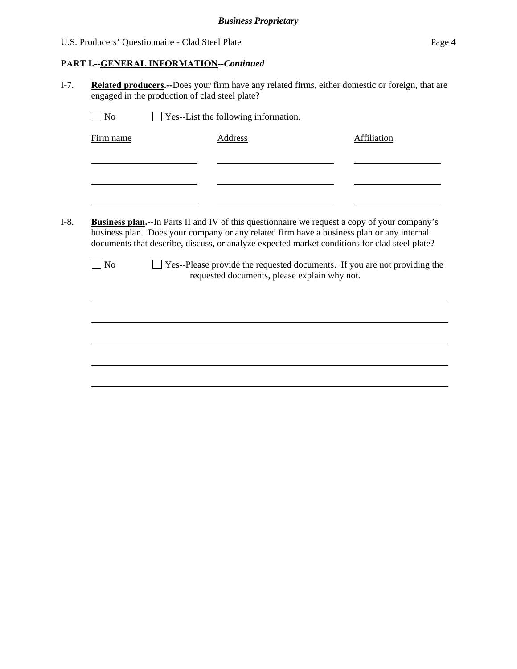## **PART I.--GENERAL INFORMATION***--Continued*

I-7. **Related producers.--**Does your firm have any related firms, either domestic or foreign, that are engaged in the production of clad steel plate?

| Firm name         | Address                                                                                             | Affiliation |
|-------------------|-----------------------------------------------------------------------------------------------------|-------------|
|                   |                                                                                                     |             |
|                   |                                                                                                     |             |
|                   |                                                                                                     |             |
|                   |                                                                                                     |             |
|                   |                                                                                                     |             |
|                   | <b>Business plan.--In Parts II and IV of this questionnaire we request a copy of your company's</b> |             |
|                   |                                                                                                     |             |
|                   | business plan. Does your company or any related firm have a business plan or any internal           |             |
|                   | documents that describe, discuss, or analyze expected market conditions for clad steel plate?       |             |
|                   |                                                                                                     |             |
| $\blacksquare$ No | □ Yes--Please provide the requested documents. If you are not providing the                         |             |
|                   | requested documents, please explain why not.                                                        |             |
|                   |                                                                                                     |             |
|                   |                                                                                                     |             |
|                   |                                                                                                     |             |
|                   |                                                                                                     |             |
|                   |                                                                                                     |             |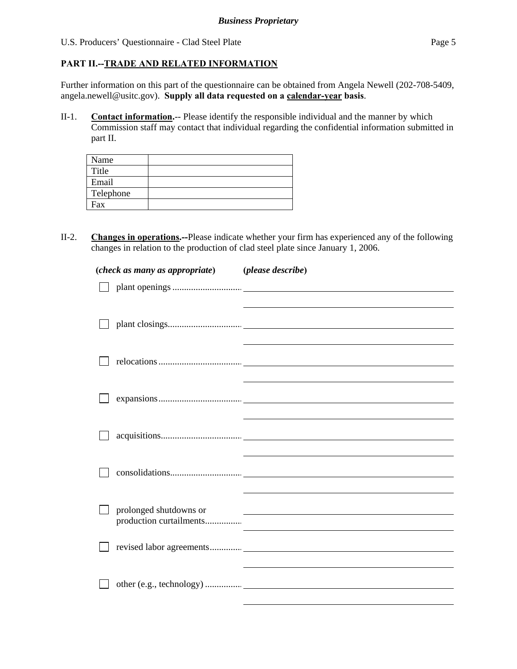## **PART II.--TRADE AND RELATED INFORMATION**

Further information on this part of the questionnaire can be obtained from Angela Newell (202-708-5409, angela.newell@usitc.gov). **Supply all data requested on a calendar-year basis**.

II-1. **Contact information.**-- Please identify the responsible individual and the manner by which Commission staff may contact that individual regarding the confidential information submitted in part II.

| Name      |  |
|-----------|--|
| Title     |  |
| Email     |  |
| Telephone |  |
| Fax       |  |

II-2. **Changes in operations.--**Please indicate whether your firm has experienced any of the following changes in relation to the production of clad steel plate since January 1, 2006.

| (check as many as appropriate) (please describe) |                                                                                                                      |
|--------------------------------------------------|----------------------------------------------------------------------------------------------------------------------|
|                                                  |                                                                                                                      |
|                                                  |                                                                                                                      |
|                                                  |                                                                                                                      |
|                                                  |                                                                                                                      |
|                                                  |                                                                                                                      |
|                                                  |                                                                                                                      |
|                                                  |                                                                                                                      |
|                                                  |                                                                                                                      |
|                                                  |                                                                                                                      |
|                                                  |                                                                                                                      |
|                                                  |                                                                                                                      |
|                                                  |                                                                                                                      |
| prolonged shutdowns or                           | <u> 1989 - Johann Stein, marwolaethau a bhann an t-Amhair ann an t-Amhair an t-Amhair an t-Amhair an t-Amhair an</u> |
| production curtailments                          |                                                                                                                      |
|                                                  |                                                                                                                      |
|                                                  |                                                                                                                      |
|                                                  |                                                                                                                      |
|                                                  |                                                                                                                      |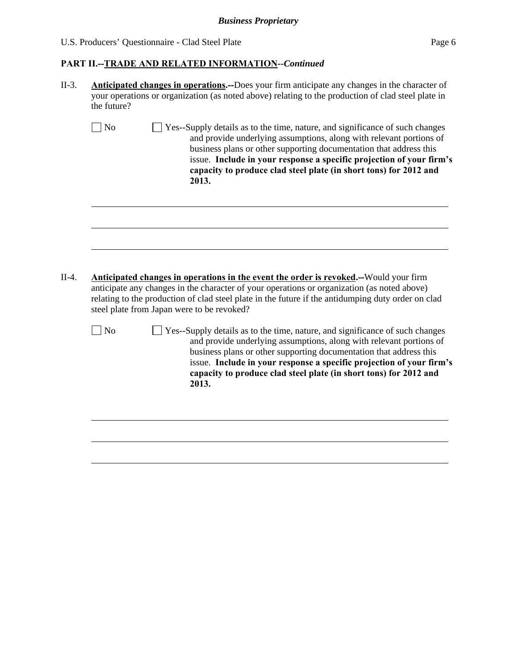#### *Business Proprietary*

#### U.S. Producers' Questionnaire - Clad Steel Plate Page 6

#### **PART II.--TRADE AND RELATED INFORMATION***--Continued*

- II-3. **Anticipated changes in operations.--**Does your firm anticipate any changes in the character of your operations or organization (as noted above) relating to the production of clad steel plate in the future?
	- No  $\Box$  Yes--Supply details as to the time, nature, and significance of such changes and provide underlying assumptions, along with relevant portions of business plans or other supporting documentation that address this issue. **Include in your response a specific projection of your firm's capacity to produce clad steel plate (in short tons) for 2012 and 2013.**

II-4. **Anticipated changes in operations in the event the order is revoked.--**Would your firm anticipate any changes in the character of your operations or organization (as noted above) relating to the production of clad steel plate in the future if the antidumping duty order on clad steel plate from Japan were to be revoked?

l

l

 $\Box$  No  $\Box$  Yes--Supply details as to the time, nature, and significance of such changes and provide underlying assumptions, along with relevant portions of business plans or other supporting documentation that address this issue. **Include in your response a specific projection of your firm's capacity to produce clad steel plate (in short tons) for 2012 and 2013.**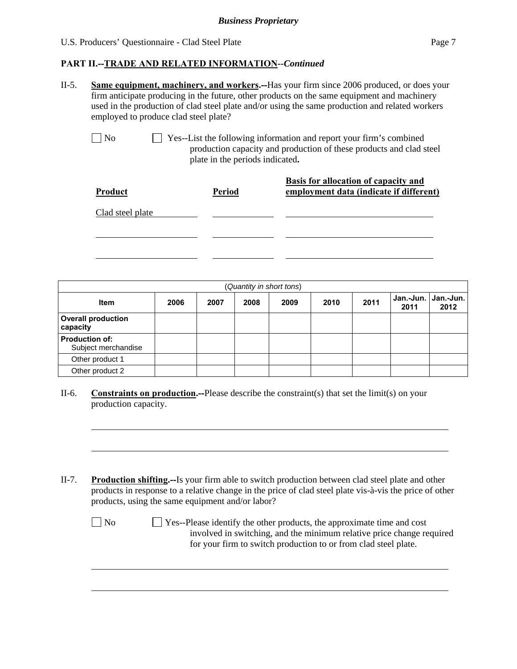#### **PART II.--TRADE AND RELATED INFORMATION***--Continued*

II-5. **Same equipment, machinery, and workers.--**Has your firm since 2006 produced, or does your firm anticipate producing in the future, other products on the same equipment and machinery used in the production of clad steel plate and/or using the same production and related workers employed to produce clad steel plate?

l

l

No Ses-List the following information and report your firm's combined production capacity and production of these products and clad steel plate in the periods indicated**.**

| <b>Product</b>   | <b>Period</b> | Basis for allocation of capacity and<br>employment data (indicate if different) |
|------------------|---------------|---------------------------------------------------------------------------------|
| Clad steel plate |               |                                                                                 |
|                  |               |                                                                                 |
|                  |               |                                                                                 |

|                                              |      |      |      | (Quantity in short tons) |      |      |      |                               |
|----------------------------------------------|------|------|------|--------------------------|------|------|------|-------------------------------|
| <b>Item</b>                                  | 2006 | 2007 | 2008 | 2009                     | 2010 | 2011 | 2011 | Jan.-Jun.   Jan.-Jun.<br>2012 |
| <b>Overall production</b><br>capacity        |      |      |      |                          |      |      |      |                               |
| <b>Production of:</b><br>Subject merchandise |      |      |      |                          |      |      |      |                               |
| Other product 1                              |      |      |      |                          |      |      |      |                               |
| Other product 2                              |      |      |      |                          |      |      |      |                               |

- II-6. **Constraints on production.--**Please describe the constraint(s) that set the limit(s) on your production capacity.
- II-7. **Production shifting.--**Is your firm able to switch production between clad steel plate and other products in response to a relative change in the price of clad steel plate vis-à-vis the price of other products, using the same equipment and/or labor?

| N <sub>0</sub> | $\Box$ Yes--Please identify the other products, the approximate time and cost |
|----------------|-------------------------------------------------------------------------------|
|                | involved in switching, and the minimum relative price change required         |
|                | for your firm to switch production to or from clad steel plate.               |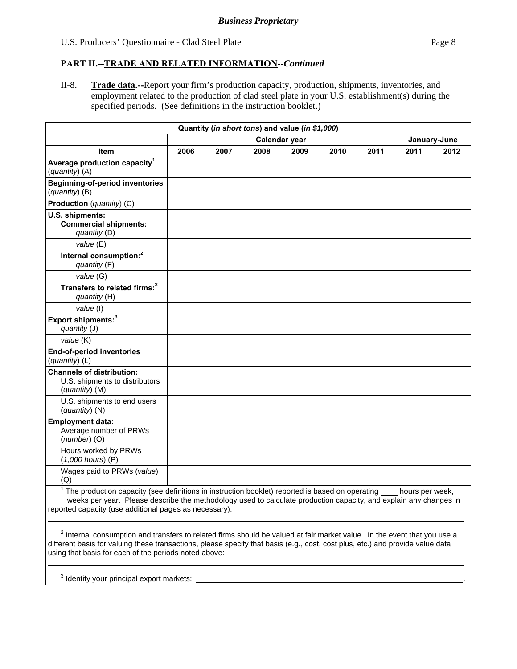## **PART II.--TRADE AND RELATED INFORMATION***--Continued*

II-8. **Trade data.--**Report your firm's production capacity, production, shipments, inventories, and employment related to the production of clad steel plate in your U.S. establishment(s) during the specified periods. (See definitions in the instruction booklet.)

| Quantity (in short tons) and value (in \$1,000)                                                                                                                                                                                                                                                                            |               |      |      |      |      |      |      |              |
|----------------------------------------------------------------------------------------------------------------------------------------------------------------------------------------------------------------------------------------------------------------------------------------------------------------------------|---------------|------|------|------|------|------|------|--------------|
|                                                                                                                                                                                                                                                                                                                            | Calendar year |      |      |      |      |      |      | January-June |
| <b>Item</b>                                                                                                                                                                                                                                                                                                                | 2006          | 2007 | 2008 | 2009 | 2010 | 2011 | 2011 | 2012         |
| Average production capacity <sup>1</sup><br>(quantity) (A)                                                                                                                                                                                                                                                                 |               |      |      |      |      |      |      |              |
| <b>Beginning-of-period inventories</b><br>(quantity) (B)                                                                                                                                                                                                                                                                   |               |      |      |      |      |      |      |              |
| Production (quantity) (C)                                                                                                                                                                                                                                                                                                  |               |      |      |      |      |      |      |              |
| U.S. shipments:<br><b>Commercial shipments:</b><br>quantity (D)                                                                                                                                                                                                                                                            |               |      |      |      |      |      |      |              |
| value (E)                                                                                                                                                                                                                                                                                                                  |               |      |      |      |      |      |      |              |
| Internal consumption: <sup>2</sup><br>quantity (F)                                                                                                                                                                                                                                                                         |               |      |      |      |      |      |      |              |
| value (G)                                                                                                                                                                                                                                                                                                                  |               |      |      |      |      |      |      |              |
| Transfers to related firms: <sup>2</sup><br>quantity (H)                                                                                                                                                                                                                                                                   |               |      |      |      |      |      |      |              |
| value (I)                                                                                                                                                                                                                                                                                                                  |               |      |      |      |      |      |      |              |
| Export shipments: <sup>3</sup><br>quantity (J)                                                                                                                                                                                                                                                                             |               |      |      |      |      |      |      |              |
| value (K)                                                                                                                                                                                                                                                                                                                  |               |      |      |      |      |      |      |              |
| <b>End-of-period inventories</b><br>(quantity) (L)                                                                                                                                                                                                                                                                         |               |      |      |      |      |      |      |              |
| <b>Channels of distribution:</b><br>U.S. shipments to distributors<br>$(quantity)$ (M)                                                                                                                                                                                                                                     |               |      |      |      |      |      |      |              |
| U.S. shipments to end users<br>(quantity) (N)                                                                                                                                                                                                                                                                              |               |      |      |      |      |      |      |              |
| <b>Employment data:</b><br>Average number of PRWs<br>$(number)$ (O)                                                                                                                                                                                                                                                        |               |      |      |      |      |      |      |              |
| Hours worked by PRWs<br>$(1,000$ hours) $(P)$                                                                                                                                                                                                                                                                              |               |      |      |      |      |      |      |              |
| Wages paid to PRWs (value)<br>(Q)                                                                                                                                                                                                                                                                                          |               |      |      |      |      |      |      |              |
| $\frac{1}{1}$ The production capacity (see definitions in instruction booklet) reported is based on operating $\frac{1}{1}$ hours per week,<br>weeks per year. Please describe the methodology used to calculate production capacity, and explain any changes in<br>reported capacity (use additional pages as necessary). |               |      |      |      |      |      |      |              |

 $^2$  Internal consumption and transfers to related firms should be valued at fair market value. In the event that you use a different basis for valuing these transactions, please specify that basis (e.g., cost, cost plus, etc.) and provide value data using that basis for each of the periods noted above:  $\overline{a}$ 

 $3$  Identify your principal export markets:  $\Box$ 

 $\overline{a}$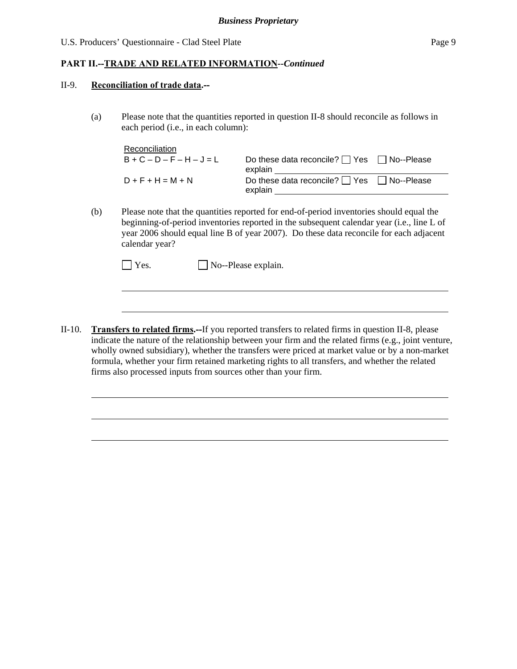## **PART II.--TRADE AND RELATED INFORMATION***--Continued*

#### II-9. **Reconciliation of trade data.--**

l

l

(a) Please note that the quantities reported in question II-8 should reconcile as follows in each period (i.e., in each column):

| Reconciliation              |                                                                  |  |
|-----------------------------|------------------------------------------------------------------|--|
| $B + C - D - F - H - J = L$ | Do these data reconcile? $\Box$ Yes $\Box$ No--Please<br>explain |  |
| $D + F + H = M + N$         | Do these data reconcile? $\Box$ Yes $\Box$ No--Please<br>explain |  |

(b) Please note that the quantities reported for end-of-period inventories should equal the beginning-of-period inventories reported in the subsequent calendar year (i.e., line L of year 2006 should equal line B of year 2007). Do these data reconcile for each adjacent calendar year?

II-10. **Transfers to related firms.--**If you reported transfers to related firms in question II-8, please indicate the nature of the relationship between your firm and the related firms (e.g., joint venture, wholly owned subsidiary), whether the transfers were priced at market value or by a non-market formula, whether your firm retained marketing rights to all transfers, and whether the related firms also processed inputs from sources other than your firm.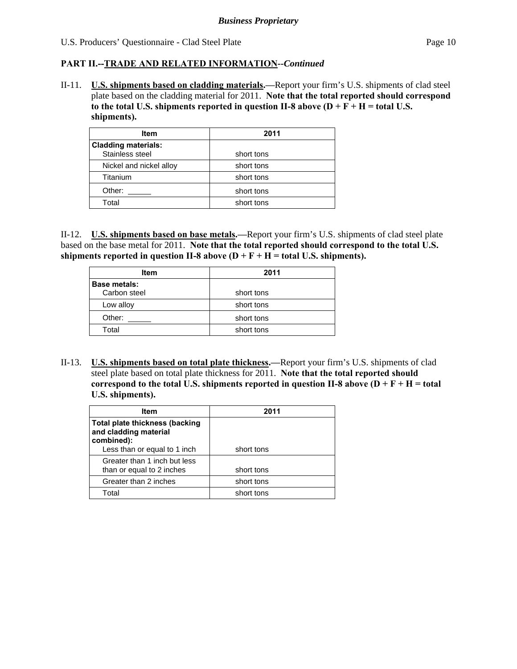#### **PART II.--TRADE AND RELATED INFORMATION***--Continued*

II-11. **U.S. shipments based on cladding materials.—**Report your firm's U.S. shipments of clad steel plate based on the cladding material for 2011. **Note that the total reported should correspond**  to the total U.S. shipments reported in question II-8 above  $(D + F + H =$  total U.S. **shipments).** 

| <b>Item</b>                                   | 2011       |
|-----------------------------------------------|------------|
| <b>Cladding materials:</b><br>Stainless steel | short tons |
| Nickel and nickel alloy                       | short tons |
| Titanium                                      | short tons |
| Other:                                        | short tons |
| Total                                         | short tons |

II-12. **U.S. shipments based on base metals.—**Report your firm's U.S. shipments of clad steel plate based on the base metal for 2011. **Note that the total reported should correspond to the total U.S.**  shipments reported in question II-8 above  $(D + F + H =$  total U.S. shipments).

| Item                                | 2011       |
|-------------------------------------|------------|
| <b>Base metals:</b><br>Carbon steel | short tons |
|                                     |            |
| Low alloy                           | short tons |
| Other:                              | short tons |
| Total                               | short tons |

II-13. **U.S. shipments based on total plate thickness.—**Report your firm's U.S. shipments of clad steel plate based on total plate thickness for 2011. **Note that the total reported should correspond to the total U.S. shipments reported in question II-8 above**  $(D + F + H = total$ **U.S. shipments).** 

| <b>Item</b>                                                           | 2011       |
|-----------------------------------------------------------------------|------------|
| Total plate thickness (backing<br>and cladding material<br>combined): |            |
| Less than or equal to 1 inch                                          | short tons |
| Greater than 1 inch but less<br>than or equal to 2 inches             | short tons |
| Greater than 2 inches                                                 | short tons |
| Total                                                                 | short tons |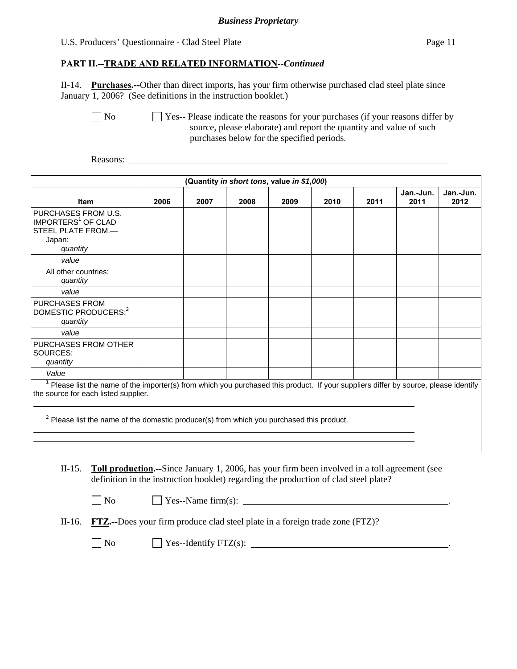## **PART II.--TRADE AND RELATED INFORMATION***--Continued*

II-14. **Purchases.--**Other than direct imports, has your firm otherwise purchased clad steel plate since January 1, 2006? (See definitions in the instruction booklet.)

No Ses-- Please indicate the reasons for your purchases (if your reasons differ by source, please elaborate) and report the quantity and value of such purchases below for the specified periods.

Reasons:

|                                                                                                                                                                                                                                                                                    |      |      |      | (Quantity in short tons, value in \$1,000) |      |      |                   |                   |
|------------------------------------------------------------------------------------------------------------------------------------------------------------------------------------------------------------------------------------------------------------------------------------|------|------|------|--------------------------------------------|------|------|-------------------|-------------------|
| <b>Item</b>                                                                                                                                                                                                                                                                        | 2006 | 2007 | 2008 | 2009                                       | 2010 | 2011 | Jan.-Jun.<br>2011 | Jan.-Jun.<br>2012 |
| PURCHASES FROM U.S.<br>IMPORTERS <sup>1</sup> OF CLAD<br>STEEL PLATE FROM.-<br>Japan:<br>quantity                                                                                                                                                                                  |      |      |      |                                            |      |      |                   |                   |
| value                                                                                                                                                                                                                                                                              |      |      |      |                                            |      |      |                   |                   |
| All other countries:<br>quantity                                                                                                                                                                                                                                                   |      |      |      |                                            |      |      |                   |                   |
| value                                                                                                                                                                                                                                                                              |      |      |      |                                            |      |      |                   |                   |
| <b>PURCHASES FROM</b><br>DOMESTIC PRODUCERS: <sup>2</sup><br>quantity                                                                                                                                                                                                              |      |      |      |                                            |      |      |                   |                   |
| value                                                                                                                                                                                                                                                                              |      |      |      |                                            |      |      |                   |                   |
| PURCHASES FROM OTHER<br>SOURCES:<br>quantity                                                                                                                                                                                                                                       |      |      |      |                                            |      |      |                   |                   |
| Value                                                                                                                                                                                                                                                                              |      |      |      |                                            |      |      |                   |                   |
| Please list the name of the importer(s) from which you purchased this product. If your suppliers differ by source, please identify<br>the source for each listed supplier.<br><sup>2</sup> Please list the name of the domestic producer(s) from which you purchased this product. |      |      |      |                                            |      |      |                   |                   |
|                                                                                                                                                                                                                                                                                    |      |      |      |                                            |      |      |                   |                   |
|                                                                                                                                                                                                                                                                                    |      |      |      |                                            |      |      |                   |                   |
| Toll production.--Since January 1, 2006, has your firm been involved in a toll agreement (see<br>$II-15.$                                                                                                                                                                          |      |      |      |                                            |      |      |                   |                   |

definition in the instruction booklet) regarding the production of clad steel plate?

| $\Box$ No<br>$\angle$ Yes--Name firm(s): |
|------------------------------------------|
|------------------------------------------|

II-16. **FTZ.--**Does your firm produce clad steel plate in a foreign trade zone (FTZ)?

 $\Box$  No  $\Box$  Yes--Identify FTZ(s):  $\Box$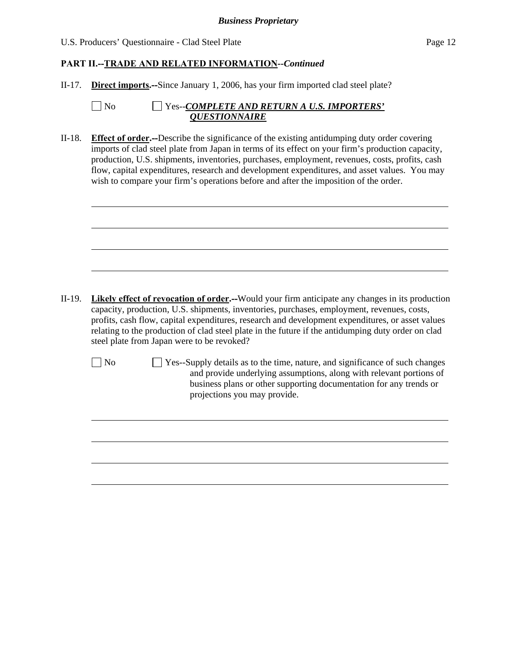## **PART II.--TRADE AND RELATED INFORMATION***--Continued*

II-17. **Direct imports.--**Since January 1, 2006, has your firm imported clad steel plate?

| $\Box$ No | $\Box$ Yes--COMPLETE AND RETURN A U.S. IMPORTERS' |
|-----------|---------------------------------------------------|
|           | <i><b>OUESTIONNAIRE</b></i>                       |

II-18. **Effect of order.--**Describe the significance of the existing antidumping duty order covering imports of clad steel plate from Japan in terms of its effect on your firm's production capacity, production, U.S. shipments, inventories, purchases, employment, revenues, costs, profits, cash flow, capital expenditures, research and development expenditures, and asset values. You may wish to compare your firm's operations before and after the imposition of the order.

II-19. **Likely effect of revocation of order.--**Would your firm anticipate any changes in its production capacity, production, U.S. shipments, inventories, purchases, employment, revenues, costs, profits, cash flow, capital expenditures, research and development expenditures, or asset values relating to the production of clad steel plate in the future if the antidumping duty order on clad steel plate from Japan were to be revoked?

l

l

No  $\Box$  Yes--Supply details as to the time, nature, and significance of such changes and provide underlying assumptions, along with relevant portions of business plans or other supporting documentation for any trends or projections you may provide.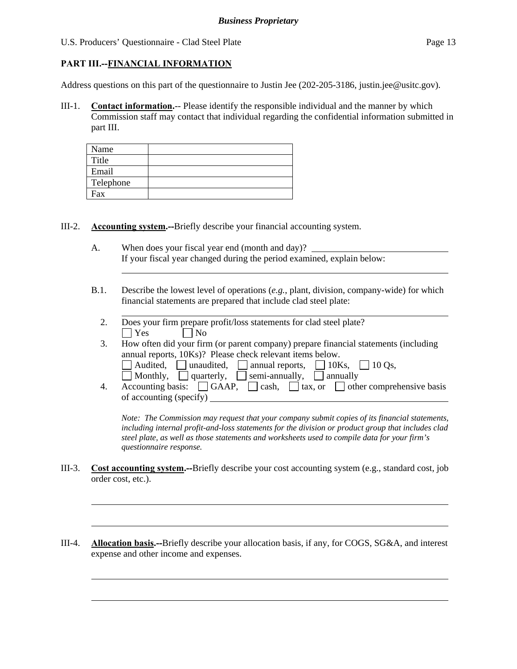## **PART III.--FINANCIAL INFORMATION**

l

l

Address questions on this part of the questionnaire to Justin Jee (202-205-3186, justin.jee@usitc.gov).

III-1. **Contact information.**-- Please identify the responsible individual and the manner by which Commission staff may contact that individual regarding the confidential information submitted in part III.

| Name      |  |
|-----------|--|
| Title     |  |
| Email     |  |
| Telephone |  |
| Fax       |  |

III-2. **Accounting system.--**Briefly describe your financial accounting system.

- A. When does your fiscal year end (month and day)? If your fiscal year changed during the period examined, explain below: l
- B.1. Describe the lowest level of operations (*e.g.*, plant, division, company-wide) for which financial statements are prepared that include clad steel plate:
	- l 2. Does your firm prepare profit/loss statements for clad steel plate?  $|$   $|$   $Y$ es  $|$   $|$   $|$   $N$ o
	- 3. How often did your firm (or parent company) prepare financial statements (including annual reports, 10Ks)? Please check relevant items below.
		- $\Box$  Audited,  $\Box$  unaudited,  $\Box$  annual reports,  $\Box$  10Ks,  $\Box$  10 Qs,
		- Monthly, quarterly, semi-annually, annually
	- 4. Accounting basis:  $\Box$  GAAP,  $\Box$  cash,  $\Box$  tax, or  $\Box$  other comprehensive basis of accounting (specify)

*Note: The Commission may request that your company submit copies of its financial statements, including internal profit-and-loss statements for the division or product group that includes clad steel plate, as well as those statements and worksheets used to compile data for your firm's questionnaire response.* 

- III-3. **Cost accounting system.--**Briefly describe your cost accounting system (e.g., standard cost, job order cost, etc.).
- III-4. **Allocation basis.--**Briefly describe your allocation basis, if any, for COGS, SG&A, and interest expense and other income and expenses.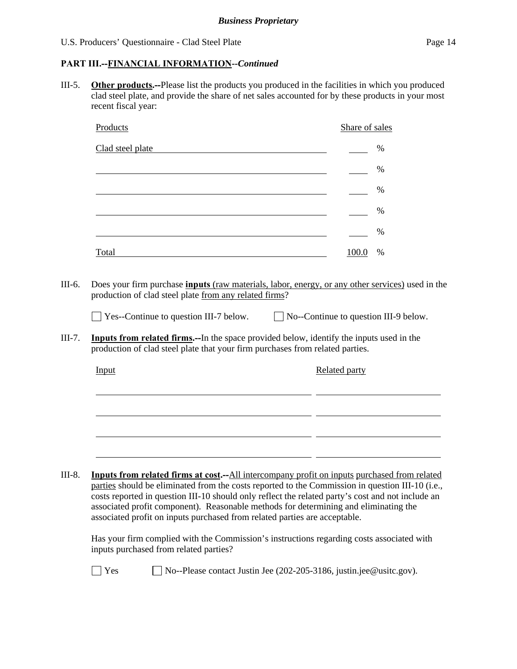# **PART III.--FINANCIAL INFORMATION***--Continued*

III-5. **Other products.--**Please list the products you produced in the facilities in which you produced clad steel plate, and provide the share of net sales accounted for by these products in your most recent fiscal year:

|                  | Products                                                                                                                                                                                                                                                                                                                                                                                                                                                                                                                                                                                                                   | Share of sales |               |
|------------------|----------------------------------------------------------------------------------------------------------------------------------------------------------------------------------------------------------------------------------------------------------------------------------------------------------------------------------------------------------------------------------------------------------------------------------------------------------------------------------------------------------------------------------------------------------------------------------------------------------------------------|----------------|---------------|
|                  | Clad steel plate                                                                                                                                                                                                                                                                                                                                                                                                                                                                                                                                                                                                           |                | $\frac{0}{0}$ |
|                  | and the control of the control of the control of the control of the control of the control of the control of the                                                                                                                                                                                                                                                                                                                                                                                                                                                                                                           |                | $\%$          |
|                  | <u> 1989 - Johann Stein, marwolaethau a bhann an t-Amhain an t-Amhain an t-Amhain an t-Amhain an t-Amhain an t-A</u>                                                                                                                                                                                                                                                                                                                                                                                                                                                                                                       |                | $\%$          |
|                  | <u> 1989 - Johann Barn, amerikansk politiker (d. 1989)</u>                                                                                                                                                                                                                                                                                                                                                                                                                                                                                                                                                                 |                | $\%$          |
|                  |                                                                                                                                                                                                                                                                                                                                                                                                                                                                                                                                                                                                                            |                | %             |
|                  | Total and the contract of the contract of the contract of the contract of the contract of the contract of the contract of the contract of the contract of the contract of the contract of the contract of the contract of the                                                                                                                                                                                                                                                                                                                                                                                              | 100.0          | $\%$          |
| III-6.<br>III-7. | Does your firm purchase <b>inputs</b> (raw materials, labor, energy, or any other services) used in the<br>production of clad steel plate from any related firms?<br>$\Box$ Yes--Continue to question III-7 below. $\Box$ No--Continue to question III-9 below.<br><b>Inputs from related firms.</b> --In the space provided below, identify the inputs used in the                                                                                                                                                                                                                                                        |                |               |
|                  | production of clad steel plate that your firm purchases from related parties.                                                                                                                                                                                                                                                                                                                                                                                                                                                                                                                                              |                |               |
|                  | Input                                                                                                                                                                                                                                                                                                                                                                                                                                                                                                                                                                                                                      | Related party  |               |
|                  |                                                                                                                                                                                                                                                                                                                                                                                                                                                                                                                                                                                                                            |                |               |
|                  |                                                                                                                                                                                                                                                                                                                                                                                                                                                                                                                                                                                                                            |                |               |
|                  |                                                                                                                                                                                                                                                                                                                                                                                                                                                                                                                                                                                                                            |                |               |
| III-8.           | <b>Inputs from related firms at cost.</b> --All intercompany profit on inputs purchased from related<br>parties should be eliminated from the costs reported to the Commission in question III-10 (i.e.,<br>costs reported in question III-10 should only reflect the related party's cost and not include an<br>associated profit component). Reasonable methods for determining and eliminating the<br>associated profit on inputs purchased from related parties are acceptable.<br>Has your firm complied with the Commission's instructions regarding costs associated with<br>inputs purchased from related parties? |                |               |
|                  | Yes<br>No--Please contact Justin Jee (202-205-3186, justin.jee@usitc.gov).                                                                                                                                                                                                                                                                                                                                                                                                                                                                                                                                                 |                |               |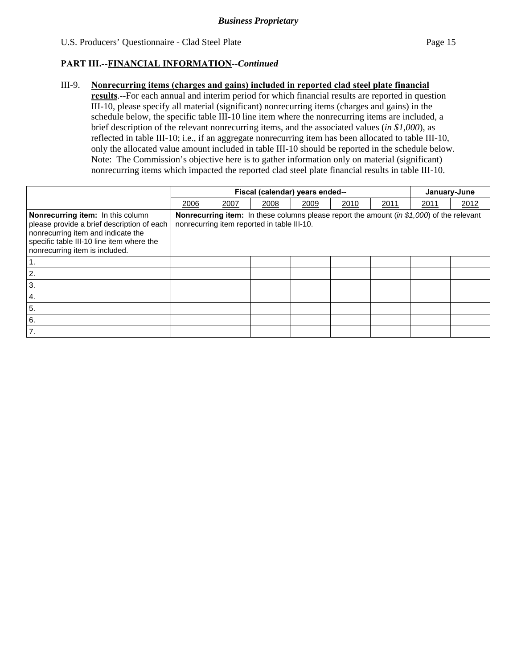### **PART III.--FINANCIAL INFORMATION***--Continued*

#### III-9. **Nonrecurring items (charges and gains) included in reported clad steel plate financial**

**results**.--For each annual and interim period for which financial results are reported in question III-10, please specify all material (significant) nonrecurring items (charges and gains) in the schedule below, the specific table III-10 line item where the nonrecurring items are included, a brief description of the relevant nonrecurring items, and the associated values (*in \$1,000*), as reflected in table III-10; i.e., if an aggregate nonrecurring item has been allocated to table III-10, only the allocated value amount included in table III-10 should be reported in the schedule below. Note: The Commission's objective here is to gather information only on material (significant) nonrecurring items which impacted the reported clad steel plate financial results in table III-10.

|                                                                                                                                                                                                             |                                                                                                                                                 | Fiscal (calendar) years ended-- |      |      |      |      |      | January-June |  |
|-------------------------------------------------------------------------------------------------------------------------------------------------------------------------------------------------------------|-------------------------------------------------------------------------------------------------------------------------------------------------|---------------------------------|------|------|------|------|------|--------------|--|
|                                                                                                                                                                                                             | 2006                                                                                                                                            | 2007                            | 2008 | 2009 | 2010 | 2011 | 2011 | 2012         |  |
| <b>Nonrecurring item:</b> In this column<br>please provide a brief description of each<br>nonrecurring item and indicate the<br>specific table III-10 line item where the<br>nonrecurring item is included. | <b>Nonrecurring item:</b> In these columns please report the amount (in \$1,000) of the relevant<br>nonrecurring item reported in table III-10. |                                 |      |      |      |      |      |              |  |
|                                                                                                                                                                                                             |                                                                                                                                                 |                                 |      |      |      |      |      |              |  |
| 2.                                                                                                                                                                                                          |                                                                                                                                                 |                                 |      |      |      |      |      |              |  |
| 3.                                                                                                                                                                                                          |                                                                                                                                                 |                                 |      |      |      |      |      |              |  |
| $\mathbf{A}$ .                                                                                                                                                                                              |                                                                                                                                                 |                                 |      |      |      |      |      |              |  |
| 5.                                                                                                                                                                                                          |                                                                                                                                                 |                                 |      |      |      |      |      |              |  |
| 6.                                                                                                                                                                                                          |                                                                                                                                                 |                                 |      |      |      |      |      |              |  |
| 7.                                                                                                                                                                                                          |                                                                                                                                                 |                                 |      |      |      |      |      |              |  |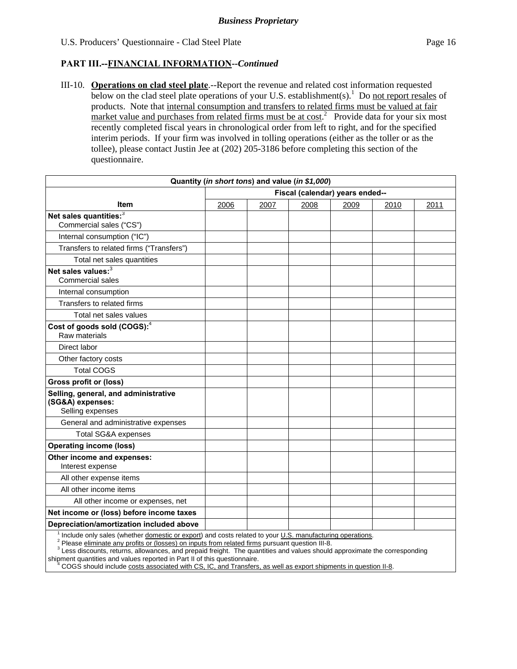## **PART III.--FINANCIAL INFORMATION***--Continued*

III-10. **Operations on clad steel plate**.--Report the revenue and related cost information requested below on the clad steel plate operations of your U.S. establishment(s).<sup>1</sup> Do not report resales of products. Note that internal consumption and transfers to related firms must be valued at fair market value and purchases from related firms must be at  $cost^2$  Provide data for your six most recently completed fiscal years in chronological order from left to right, and for the specified interim periods. If your firm was involved in tolling operations (either as the toller or as the tollee), please contact Justin Jee at (202) 205-3186 before completing this section of the questionnaire.

|                                                                                                                                                                                                            |      | Quantity (in short tons) and value (in \$1,000) |                                 |      |      |      |
|------------------------------------------------------------------------------------------------------------------------------------------------------------------------------------------------------------|------|-------------------------------------------------|---------------------------------|------|------|------|
|                                                                                                                                                                                                            |      |                                                 | Fiscal (calendar) years ended-- |      |      |      |
| <b>Item</b>                                                                                                                                                                                                | 2006 | 2007                                            | 2008                            | 2009 | 2010 | 2011 |
| Net sales quantities:3<br>Commercial sales ("CS")                                                                                                                                                          |      |                                                 |                                 |      |      |      |
| Internal consumption ("IC")                                                                                                                                                                                |      |                                                 |                                 |      |      |      |
| Transfers to related firms ("Transfers")                                                                                                                                                                   |      |                                                 |                                 |      |      |      |
| Total net sales quantities                                                                                                                                                                                 |      |                                                 |                                 |      |      |      |
| Net sales values: <sup>3</sup><br>Commercial sales                                                                                                                                                         |      |                                                 |                                 |      |      |      |
| Internal consumption                                                                                                                                                                                       |      |                                                 |                                 |      |      |      |
| Transfers to related firms                                                                                                                                                                                 |      |                                                 |                                 |      |      |      |
| Total net sales values                                                                                                                                                                                     |      |                                                 |                                 |      |      |      |
| Cost of goods sold (COGS): <sup>4</sup><br>Raw materials                                                                                                                                                   |      |                                                 |                                 |      |      |      |
| Direct labor                                                                                                                                                                                               |      |                                                 |                                 |      |      |      |
| Other factory costs                                                                                                                                                                                        |      |                                                 |                                 |      |      |      |
| <b>Total COGS</b>                                                                                                                                                                                          |      |                                                 |                                 |      |      |      |
| <b>Gross profit or (loss)</b>                                                                                                                                                                              |      |                                                 |                                 |      |      |      |
| Selling, general, and administrative<br>(SG&A) expenses:<br>Selling expenses                                                                                                                               |      |                                                 |                                 |      |      |      |
| General and administrative expenses                                                                                                                                                                        |      |                                                 |                                 |      |      |      |
| <b>Total SG&amp;A expenses</b>                                                                                                                                                                             |      |                                                 |                                 |      |      |      |
| <b>Operating income (loss)</b>                                                                                                                                                                             |      |                                                 |                                 |      |      |      |
| Other income and expenses:<br>Interest expense                                                                                                                                                             |      |                                                 |                                 |      |      |      |
| All other expense items                                                                                                                                                                                    |      |                                                 |                                 |      |      |      |
| All other income items                                                                                                                                                                                     |      |                                                 |                                 |      |      |      |
| All other income or expenses, net                                                                                                                                                                          |      |                                                 |                                 |      |      |      |
| Net income or (loss) before income taxes                                                                                                                                                                   |      |                                                 |                                 |      |      |      |
| Depreciation/amortization included above                                                                                                                                                                   |      |                                                 |                                 |      |      |      |
| Include only sales (whether domestic or export) and costs related to your U.S. manufacturing operations.<br>Please eliminate any profits or (losses) on inputs from related firms pursuant question III-8. |      |                                                 |                                 |      |      |      |

<sup>3</sup> Less discounts, returns, allowances, and prepaid freight. The quantities and values should approximate the corresponding

shipment quantities and values reported in Part II of this questionnaire.<br><sup>4</sup> COGS should include costs associated with CS, IC, and Transfers, COGS should include costs associated with CS, IC, and Transfers, as well as export shipments in question II-8.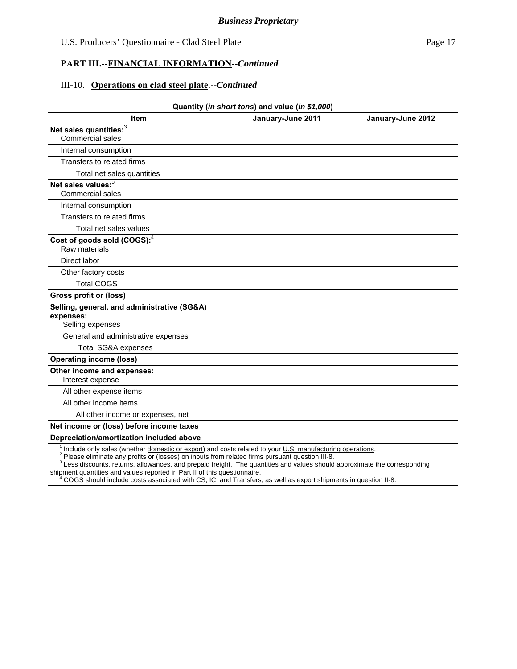#### **PART III.--FINANCIAL INFORMATION***--Continued*

#### III-10. **Operations on clad steel plate**.--*Continued*

| Quantity (in short tons) and value (in \$1,000)                              |                   |                   |  |  |  |  |
|------------------------------------------------------------------------------|-------------------|-------------------|--|--|--|--|
| Item                                                                         | January-June 2011 | January-June 2012 |  |  |  |  |
| Net sales quantities: <sup>3</sup><br><b>Commercial sales</b>                |                   |                   |  |  |  |  |
| Internal consumption                                                         |                   |                   |  |  |  |  |
| Transfers to related firms                                                   |                   |                   |  |  |  |  |
| Total net sales quantities                                                   |                   |                   |  |  |  |  |
| Net sales values: <sup>3</sup><br><b>Commercial sales</b>                    |                   |                   |  |  |  |  |
| Internal consumption                                                         |                   |                   |  |  |  |  |
| Transfers to related firms                                                   |                   |                   |  |  |  |  |
| Total net sales values                                                       |                   |                   |  |  |  |  |
| Cost of goods sold (COGS): <sup>4</sup><br>Raw materials                     |                   |                   |  |  |  |  |
| Direct labor                                                                 |                   |                   |  |  |  |  |
| Other factory costs                                                          |                   |                   |  |  |  |  |
| <b>Total COGS</b>                                                            |                   |                   |  |  |  |  |
| <b>Gross profit or (loss)</b>                                                |                   |                   |  |  |  |  |
| Selling, general, and administrative (SG&A)<br>expenses:<br>Selling expenses |                   |                   |  |  |  |  |
| General and administrative expenses                                          |                   |                   |  |  |  |  |
| <b>Total SG&amp;A expenses</b>                                               |                   |                   |  |  |  |  |
| <b>Operating income (loss)</b>                                               |                   |                   |  |  |  |  |
| Other income and expenses:<br>Interest expense                               |                   |                   |  |  |  |  |
| All other expense items                                                      |                   |                   |  |  |  |  |
| All other income items                                                       |                   |                   |  |  |  |  |
| All other income or expenses, net                                            |                   |                   |  |  |  |  |
| Net income or (loss) before income taxes                                     |                   |                   |  |  |  |  |
| Depreciation/amortization included above                                     |                   |                   |  |  |  |  |
| 1 million de la completa de la completa de la construcción de                |                   | المتلاف والمستندر |  |  |  |  |

<sup>1</sup> Include only sales (whether *domestic or export*) and costs related to your <u>U.S. manufacturing operations</u>.<br><sup>2</sup> Please *eliminate any profits or (losses) on inputs from related firms pursuant question III-8.* 

<sup>3</sup> Less discounts, returns, allowances, and prepaid freight. The quantities and values should approximate the corresponding

shipment quantities and values reported in Part II of this questionnaire.<br><sup>4</sup> COGS should include <u>costs associated with CS, IC, and Transfers, as well as export shipments in question II-8</u>.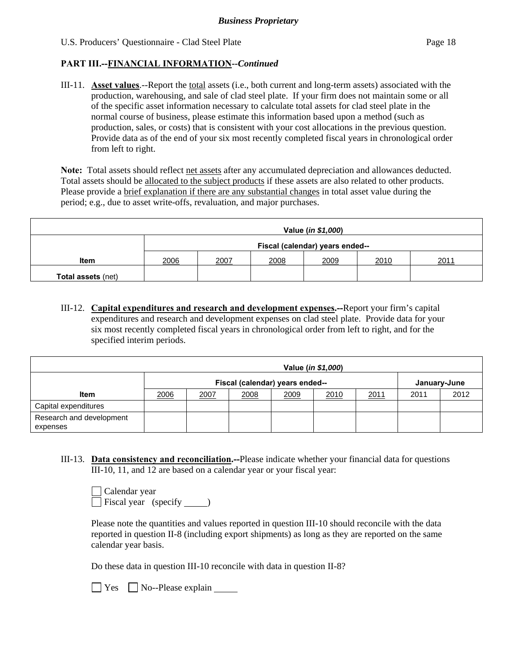## **PART III.--FINANCIAL INFORMATION***--Continued*

III-11. **Asset values**.--Report the total assets (i.e., both current and long-term assets) associated with the production, warehousing, and sale of clad steel plate. If your firm does not maintain some or all of the specific asset information necessary to calculate total assets for clad steel plate in the normal course of business, please estimate this information based upon a method (such as production, sales, or costs) that is consistent with your cost allocations in the previous question. Provide data as of the end of your six most recently completed fiscal years in chronological order from left to right.

Note: Total assets should reflect net assets after any accumulated depreciation and allowances deducted. Total assets should be allocated to the subject products if these assets are also related to other products. Please provide a brief explanation if there are any substantial changes in total asset value during the period; e.g., due to asset write-offs, revaluation, and major purchases.

| Value ( <i>in \$1,000</i> ) |                                 |      |      |      |      |      |
|-----------------------------|---------------------------------|------|------|------|------|------|
|                             | Fiscal (calendar) years ended-- |      |      |      |      |      |
| Item                        | 2006                            | 2007 | 2008 | 2009 | 2010 | 2011 |
| <b>Total assets (net)</b>   |                                 |      |      |      |      |      |

III-12. **Capital expenditures and research and development expenses.--**Report your firm's capital expenditures and research and development expenses on clad steel plate. Provide data for your six most recently completed fiscal years in chronological order from left to right, and for the specified interim periods.

|                                      | Value ( <i>in \$1,000</i> ) |                                                 |      |      |      |      |      |      |
|--------------------------------------|-----------------------------|-------------------------------------------------|------|------|------|------|------|------|
|                                      |                             | Fiscal (calendar) years ended--<br>January-June |      |      |      |      |      |      |
| <b>Item</b>                          | 2006                        | 2007                                            | 2008 | 2009 | 2010 | 2011 | 2011 | 2012 |
| Capital expenditures                 |                             |                                                 |      |      |      |      |      |      |
| Research and development<br>expenses |                             |                                                 |      |      |      |      |      |      |

III-13. **Data consistency and reconciliation.--**Please indicate whether your financial data for questions III-10, 11, and 12 are based on a calendar year or your fiscal year:

| Calendar year        |  |
|----------------------|--|
| Fiscal year (specify |  |

Please note the quantities and values reported in question III-10 should reconcile with the data reported in question II-8 (including export shipments) as long as they are reported on the same calendar year basis.

Do these data in question III-10 reconcile with data in question II-8?

 $\Box$  Yes  $\Box$  No--Please explain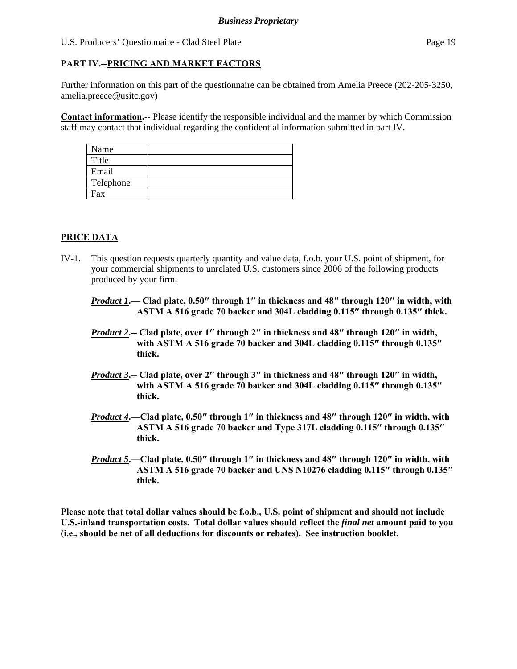## **PART IV.--PRICING AND MARKET FACTORS**

Further information on this part of the questionnaire can be obtained from Amelia Preece (202-205-3250, amelia.preece@usitc.gov)

**Contact information.**-- Please identify the responsible individual and the manner by which Commission staff may contact that individual regarding the confidential information submitted in part IV.

| Name      |  |
|-----------|--|
| Title     |  |
| Email     |  |
| Telephone |  |
| Fax       |  |

## **PRICE DATA**

- IV-1. This question requests quarterly quantity and value data, f.o.b. your U.S. point of shipment, for your commercial shipments to unrelated U.S. customers since 2006 of the following products produced by your firm.
	- *Product 1***.— Clad plate, 0.50″ through 1″ in thickness and 48″ through 120″ in width, with ASTM A 516 grade 70 backer and 304L cladding 0.115″ through 0.135″ thick.**
	- *Product 2***.-- Clad plate, over 1″ through 2″ in thickness and 48″ through 120″ in width, with ASTM A 516 grade 70 backer and 304L cladding 0.115″ through 0.135″ thick.**
	- *Product 3***.-- Clad plate, over 2″ through 3″ in thickness and 48″ through 120″ in width, with ASTM A 516 grade 70 backer and 304L cladding 0.115″ through 0.135″ thick.**
	- *Product 4***.—Clad plate, 0.50″ through 1″ in thickness and 48″ through 120″ in width, with ASTM A 516 grade 70 backer and Type 317L cladding 0.115″ through 0.135″ thick.**
	- *Product 5***.—Clad plate, 0.50″ through 1″ in thickness and 48″ through 120″ in width, with ASTM A 516 grade 70 backer and UNS N10276 cladding 0.115″ through 0.135″ thick.**

**Please note that total dollar values should be f.o.b., U.S. point of shipment and should not include U.S.-inland transportation costs. Total dollar values should reflect the** *final net* **amount paid to you (i.e., should be net of all deductions for discounts or rebates). See instruction booklet.**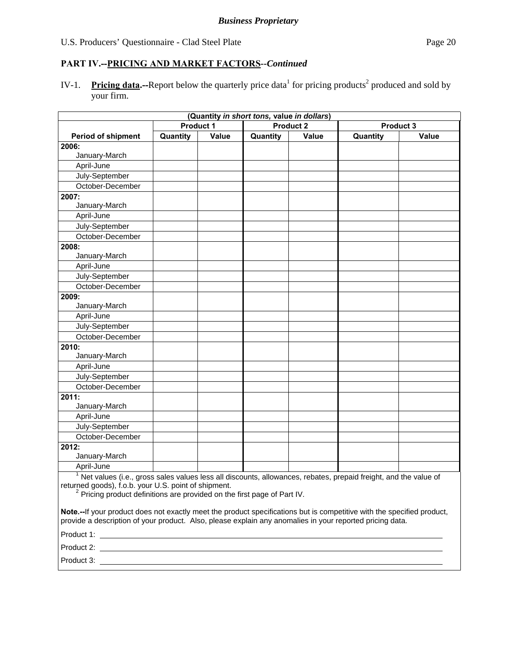# **PART IV.--PRICING AND MARKET FACTORS***--Continued*

IV-1. Pricing data.--Report below the quarterly price data<sup>1</sup> for pricing products<sup>2</sup> produced and sold by your firm.

| (Quantity in short tons, value in dollars)                                                                                                                                                                                                                                  |                  |       |          |                  |          |                  |  |
|-----------------------------------------------------------------------------------------------------------------------------------------------------------------------------------------------------------------------------------------------------------------------------|------------------|-------|----------|------------------|----------|------------------|--|
|                                                                                                                                                                                                                                                                             | <b>Product 1</b> |       |          | <b>Product 2</b> |          | <b>Product 3</b> |  |
| <b>Period of shipment</b>                                                                                                                                                                                                                                                   | Quantity         | Value | Quantity | Value            | Quantity | Value            |  |
| 2006:                                                                                                                                                                                                                                                                       |                  |       |          |                  |          |                  |  |
| January-March                                                                                                                                                                                                                                                               |                  |       |          |                  |          |                  |  |
| April-June                                                                                                                                                                                                                                                                  |                  |       |          |                  |          |                  |  |
| July-September                                                                                                                                                                                                                                                              |                  |       |          |                  |          |                  |  |
| October-December                                                                                                                                                                                                                                                            |                  |       |          |                  |          |                  |  |
| 2007:                                                                                                                                                                                                                                                                       |                  |       |          |                  |          |                  |  |
| January-March                                                                                                                                                                                                                                                               |                  |       |          |                  |          |                  |  |
| April-June                                                                                                                                                                                                                                                                  |                  |       |          |                  |          |                  |  |
| July-September                                                                                                                                                                                                                                                              |                  |       |          |                  |          |                  |  |
| October-December                                                                                                                                                                                                                                                            |                  |       |          |                  |          |                  |  |
| 2008:                                                                                                                                                                                                                                                                       |                  |       |          |                  |          |                  |  |
| January-March                                                                                                                                                                                                                                                               |                  |       |          |                  |          |                  |  |
| April-June                                                                                                                                                                                                                                                                  |                  |       |          |                  |          |                  |  |
| July-September                                                                                                                                                                                                                                                              |                  |       |          |                  |          |                  |  |
| October-December                                                                                                                                                                                                                                                            |                  |       |          |                  |          |                  |  |
| 2009:                                                                                                                                                                                                                                                                       |                  |       |          |                  |          |                  |  |
| January-March                                                                                                                                                                                                                                                               |                  |       |          |                  |          |                  |  |
| April-June                                                                                                                                                                                                                                                                  |                  |       |          |                  |          |                  |  |
| July-September                                                                                                                                                                                                                                                              |                  |       |          |                  |          |                  |  |
| October-December                                                                                                                                                                                                                                                            |                  |       |          |                  |          |                  |  |
| 2010:                                                                                                                                                                                                                                                                       |                  |       |          |                  |          |                  |  |
| January-March                                                                                                                                                                                                                                                               |                  |       |          |                  |          |                  |  |
| April-June                                                                                                                                                                                                                                                                  |                  |       |          |                  |          |                  |  |
| July-September                                                                                                                                                                                                                                                              |                  |       |          |                  |          |                  |  |
| October-December                                                                                                                                                                                                                                                            |                  |       |          |                  |          |                  |  |
| 2011:                                                                                                                                                                                                                                                                       |                  |       |          |                  |          |                  |  |
| January-March                                                                                                                                                                                                                                                               |                  |       |          |                  |          |                  |  |
| April-June                                                                                                                                                                                                                                                                  |                  |       |          |                  |          |                  |  |
| July-September                                                                                                                                                                                                                                                              |                  |       |          |                  |          |                  |  |
| October-December                                                                                                                                                                                                                                                            |                  |       |          |                  |          |                  |  |
| 2012:                                                                                                                                                                                                                                                                       |                  |       |          |                  |          |                  |  |
| January-March                                                                                                                                                                                                                                                               |                  |       |          |                  |          |                  |  |
| April-June                                                                                                                                                                                                                                                                  |                  |       |          |                  |          |                  |  |
| <sup>1</sup> Net values (i.e., gross sales values less all discounts, allowances, rebates, prepaid freight, and the value of<br>returned goods), f.o.b. your U.S. point of shipment.<br><sup>2</sup> Pricing product definitions are provided on the first page of Part IV. |                  |       |          |                  |          |                  |  |
| Note.--If your product does not exactly meet the product specifications but is competitive with the specified product,<br>provide a description of your product. Also, please explain any anomalies in your reported pricing data.                                          |                  |       |          |                  |          |                  |  |
| Product 1:                                                                                                                                                                                                                                                                  |                  |       |          |                  |          |                  |  |
| Product 2:                                                                                                                                                                                                                                                                  |                  |       |          |                  |          |                  |  |

Product 3: \_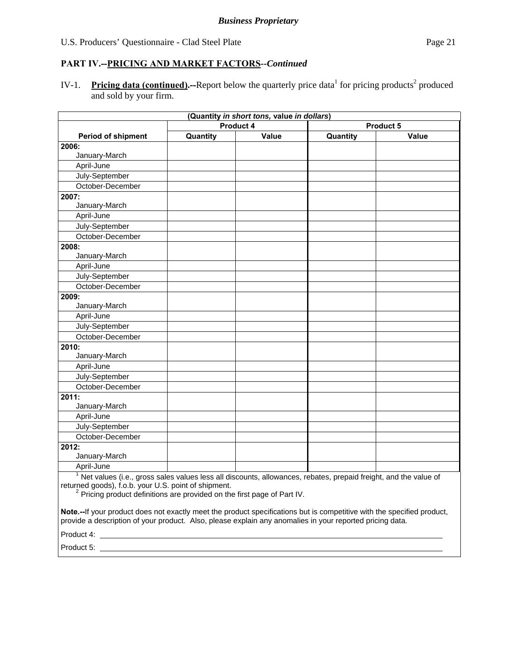# **PART IV.--PRICING AND MARKET FACTORS***--Continued*

IV-1. Pricing data (continued).--Report below the quarterly price data<sup>1</sup> for pricing products<sup>2</sup> produced and sold by your firm.

| (Quantity in short tons, value in dollars)                                                                                                                                                                                                                                                                                                                                                            |           |       |           |              |  |  |
|-------------------------------------------------------------------------------------------------------------------------------------------------------------------------------------------------------------------------------------------------------------------------------------------------------------------------------------------------------------------------------------------------------|-----------|-------|-----------|--------------|--|--|
|                                                                                                                                                                                                                                                                                                                                                                                                       | Product 4 |       | Product 5 |              |  |  |
| <b>Period of shipment</b>                                                                                                                                                                                                                                                                                                                                                                             | Quantity  | Value | Quantity  | <b>Value</b> |  |  |
| 2006:                                                                                                                                                                                                                                                                                                                                                                                                 |           |       |           |              |  |  |
| January-March                                                                                                                                                                                                                                                                                                                                                                                         |           |       |           |              |  |  |
| April-June                                                                                                                                                                                                                                                                                                                                                                                            |           |       |           |              |  |  |
| July-September                                                                                                                                                                                                                                                                                                                                                                                        |           |       |           |              |  |  |
| October-December                                                                                                                                                                                                                                                                                                                                                                                      |           |       |           |              |  |  |
| 2007:                                                                                                                                                                                                                                                                                                                                                                                                 |           |       |           |              |  |  |
| January-March                                                                                                                                                                                                                                                                                                                                                                                         |           |       |           |              |  |  |
| April-June                                                                                                                                                                                                                                                                                                                                                                                            |           |       |           |              |  |  |
| July-September                                                                                                                                                                                                                                                                                                                                                                                        |           |       |           |              |  |  |
| October-December                                                                                                                                                                                                                                                                                                                                                                                      |           |       |           |              |  |  |
| 2008:                                                                                                                                                                                                                                                                                                                                                                                                 |           |       |           |              |  |  |
| January-March                                                                                                                                                                                                                                                                                                                                                                                         |           |       |           |              |  |  |
| April-June                                                                                                                                                                                                                                                                                                                                                                                            |           |       |           |              |  |  |
| July-September                                                                                                                                                                                                                                                                                                                                                                                        |           |       |           |              |  |  |
| October-December                                                                                                                                                                                                                                                                                                                                                                                      |           |       |           |              |  |  |
| 2009:                                                                                                                                                                                                                                                                                                                                                                                                 |           |       |           |              |  |  |
| January-March                                                                                                                                                                                                                                                                                                                                                                                         |           |       |           |              |  |  |
| April-June                                                                                                                                                                                                                                                                                                                                                                                            |           |       |           |              |  |  |
| July-September                                                                                                                                                                                                                                                                                                                                                                                        |           |       |           |              |  |  |
| October-December                                                                                                                                                                                                                                                                                                                                                                                      |           |       |           |              |  |  |
| 2010:                                                                                                                                                                                                                                                                                                                                                                                                 |           |       |           |              |  |  |
| January-March                                                                                                                                                                                                                                                                                                                                                                                         |           |       |           |              |  |  |
| April-June                                                                                                                                                                                                                                                                                                                                                                                            |           |       |           |              |  |  |
| July-September                                                                                                                                                                                                                                                                                                                                                                                        |           |       |           |              |  |  |
| October-December                                                                                                                                                                                                                                                                                                                                                                                      |           |       |           |              |  |  |
| 2011:                                                                                                                                                                                                                                                                                                                                                                                                 |           |       |           |              |  |  |
| January-March                                                                                                                                                                                                                                                                                                                                                                                         |           |       |           |              |  |  |
| April-June                                                                                                                                                                                                                                                                                                                                                                                            |           |       |           |              |  |  |
| July-September                                                                                                                                                                                                                                                                                                                                                                                        |           |       |           |              |  |  |
| October-December                                                                                                                                                                                                                                                                                                                                                                                      |           |       |           |              |  |  |
| 2012:                                                                                                                                                                                                                                                                                                                                                                                                 |           |       |           |              |  |  |
| January-March                                                                                                                                                                                                                                                                                                                                                                                         |           |       |           |              |  |  |
| April-June                                                                                                                                                                                                                                                                                                                                                                                            |           |       |           |              |  |  |
| <sup>1</sup> Net values (i.e., gross sales values less all discounts, allowances, rebates, prepaid freight, and the value of<br>returned goods), f.o.b. your U.S. point of shipment.<br><sup>2</sup> Pricing product definitions are provided on the first page of Part IV.<br>Note.--If your product does not exactly meet the product specifications but is competitive with the specified product, |           |       |           |              |  |  |
| provide a description of your product. Also, please explain any anomalies in your reported pricing data.                                                                                                                                                                                                                                                                                              |           |       |           |              |  |  |

Product 4: <u>contract the contract of the contract of the contract of the contract of the contract of the contract of the contract of the contract of the contract of the contract of the contract of the contract of the contr</u>

Product 5: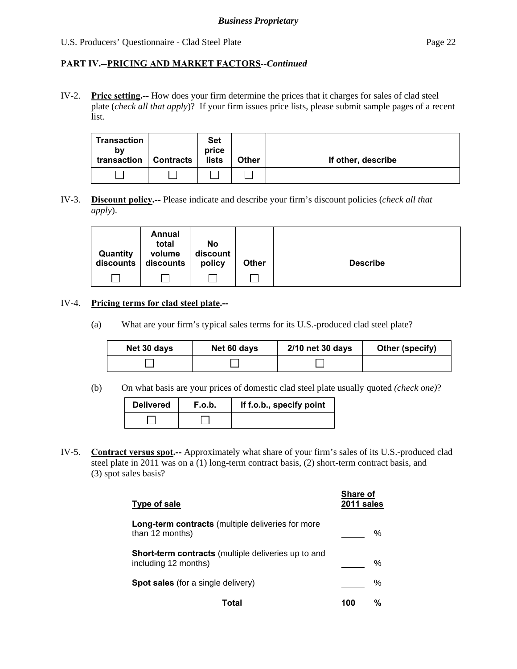## **PART IV.--PRICING AND MARKET FACTORS***--Continued*

IV-2. **Price setting.--** How does your firm determine the prices that it charges for sales of clad steel plate (*check all that apply*)? If your firm issues price lists, please submit sample pages of a recent list.

| Transaction<br>b٧<br>transaction | <b>Contracts</b> | <b>Set</b><br>price<br>lists | <b>Other</b> | If other, describe |
|----------------------------------|------------------|------------------------------|--------------|--------------------|
|                                  |                  |                              |              |                    |

IV-3. **Discount policy.--** Please indicate and describe your firm's discount policies (*check all that apply*).

| Quantity<br>discounts | Annual<br>total<br>volume<br>discounts | No<br>discount<br>policy | <b>Other</b> | <b>Describe</b> |
|-----------------------|----------------------------------------|--------------------------|--------------|-----------------|
|                       |                                        |                          |              |                 |

#### IV-4. **Pricing terms for clad steel plate.--**

(a) What are your firm's typical sales terms for its U.S.-produced clad steel plate?

| Net 30 days | Net 60 days | 2/10 net 30 days | Other (specify) |
|-------------|-------------|------------------|-----------------|
|             |             |                  |                 |

(b) On what basis are your prices of domestic clad steel plate usually quoted *(check one)*?

| <b>Delivered</b> | F.o.b. | If f.o.b., specify point |
|------------------|--------|--------------------------|
|                  |        |                          |

IV-5. **Contract versus spot.--** Approximately what share of your firm's sales of its U.S.-produced clad steel plate in 2011 was on a (1) long-term contract basis, (2) short-term contract basis, and (3) spot sales basis?

| Type of sale                                                                       | <b>Share of</b><br>2011 sales |   |
|------------------------------------------------------------------------------------|-------------------------------|---|
| <b>Long-term contracts</b> (multiple deliveries for more<br>than 12 months)        |                               | % |
| <b>Short-term contracts</b> (multiple deliveries up to and<br>including 12 months) |                               | ℅ |
| <b>Spot sales</b> (for a single delivery)                                          |                               | % |
| 'otal                                                                              | 100                           | % |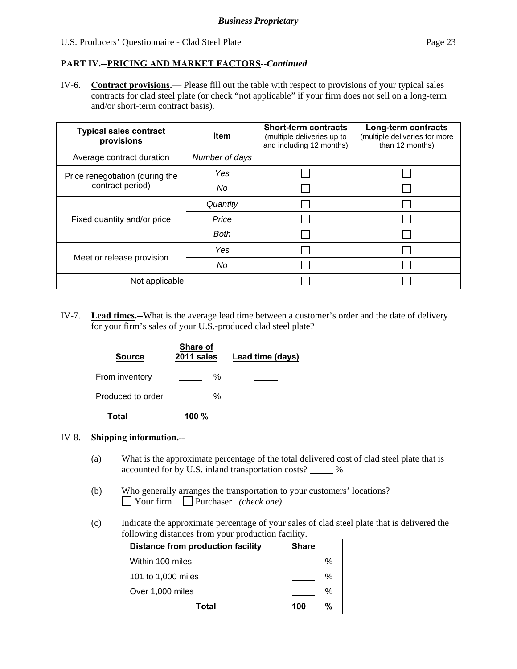#### **PART IV.--PRICING AND MARKET FACTORS***--Continued*

IV-6. **Contract provisions.—** Please fill out the table with respect to provisions of your typical sales contracts for clad steel plate (or check "not applicable" if your firm does not sell on a long-term and/or short-term contract basis).

| <b>Typical sales contract</b><br>provisions | <b>Item</b>    | <b>Short-term contracts</b><br>(multiple deliveries up to<br>and including 12 months) | Long-term contracts<br>(multiple deliveries for more<br>than 12 months) |
|---------------------------------------------|----------------|---------------------------------------------------------------------------------------|-------------------------------------------------------------------------|
| Average contract duration                   | Number of days |                                                                                       |                                                                         |
| Price renegotiation (during the             | Yes            |                                                                                       |                                                                         |
| contract period)                            | No             |                                                                                       |                                                                         |
|                                             | Quantity       |                                                                                       |                                                                         |
| Fixed quantity and/or price                 | Price          |                                                                                       |                                                                         |
|                                             | Both           |                                                                                       |                                                                         |
|                                             | Yes            |                                                                                       |                                                                         |
| Meet or release provision                   | No             |                                                                                       |                                                                         |
| Not applicable                              |                |                                                                                       |                                                                         |

IV-7. **Lead times.--**What is the average lead time between a customer's order and the date of delivery for your firm's sales of your U.S.-produced clad steel plate?

| <b>Source</b>     | Share of<br>2011 sales | Lead time (days) |
|-------------------|------------------------|------------------|
| From inventory    | ℅                      |                  |
| Produced to order | ℅                      |                  |
| Total             | 100 $%$                |                  |

#### IV-8. **Shipping information.--**

- (a) What is the approximate percentage of the total delivered cost of clad steel plate that is accounted for by U.S. inland transportation costs? \_\_\_\_\_ %
- (b) Who generally arranges the transportation to your customers' locations? Your firm Purchaser *(check one)*
- (c) Indicate the approximate percentage of your sales of clad steel plate that is delivered the following distances from your production facility.

| <b>Distance from production facility</b> | <b>Share</b> |
|------------------------------------------|--------------|
| Within 100 miles                         | %            |
| 101 to 1,000 miles                       | %            |
| Over 1,000 miles                         | %            |
| Total                                    | %<br>100     |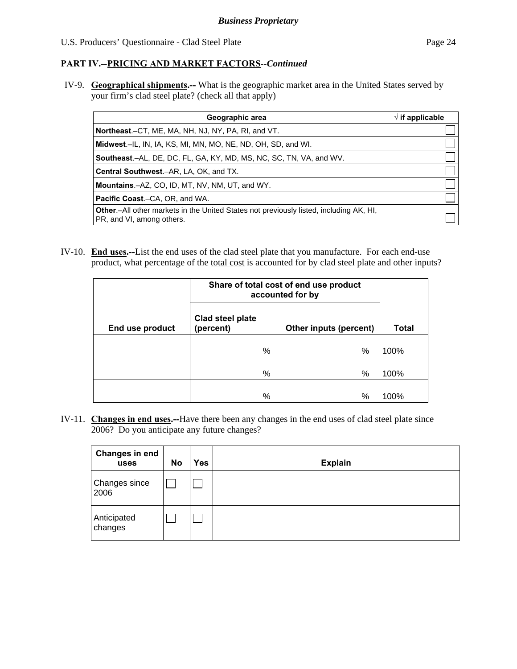## **PART IV.--PRICING AND MARKET FACTORS***--Continued*

IV-9. **Geographical shipments.--** What is the geographic market area in the United States served by your firm's clad steel plate? (check all that apply)

| Geographic area                                                                                                             | $\sqrt{}$ if applicable |
|-----------------------------------------------------------------------------------------------------------------------------|-------------------------|
| Northeast.-CT, ME, MA, NH, NJ, NY, PA, RI, and VT.                                                                          |                         |
| <b>Midwest.</b> –IL, IN, IA, KS, MI, MN, MO, NE, ND, OH, SD, and WI.                                                        |                         |
| <b>Southeast.–AL, DE, DC, FL, GA, KY, MD, MS, NC, SC, TN, VA, and WV.</b>                                                   |                         |
| <b>Central Southwest.–AR, LA, OK, and TX.</b>                                                                               |                         |
| <b>Mountains.-AZ, CO, ID, MT, NV, NM, UT, and WY.</b>                                                                       |                         |
| <b>Pacific Coast.–CA, OR, and WA.</b>                                                                                       |                         |
| <b>Other</b> .-All other markets in the United States not previously listed, including AK, HI,<br>PR, and VI, among others. |                         |

IV-10. **End uses.--**List the end uses of the clad steel plate that you manufacture. For each end-use product, what percentage of the <u>total cost</u> is accounted for by clad steel plate and other inputs?

|                 | Share of total cost of end use product<br>accounted for by |                        |              |
|-----------------|------------------------------------------------------------|------------------------|--------------|
| End use product | Clad steel plate<br>(percent)                              | Other inputs (percent) | <b>Total</b> |
|                 | %                                                          | %                      | 100%         |
|                 | %                                                          | %                      | 100%         |
|                 | %                                                          | %                      | 100%         |

IV-11. **Changes in end uses.--**Have there been any changes in the end uses of clad steel plate since 2006? Do you anticipate any future changes?

| Changes in end<br>uses | <b>No</b> | Yes | <b>Explain</b> |
|------------------------|-----------|-----|----------------|
| Changes since<br>2006  |           |     |                |
| Anticipated<br>changes |           |     |                |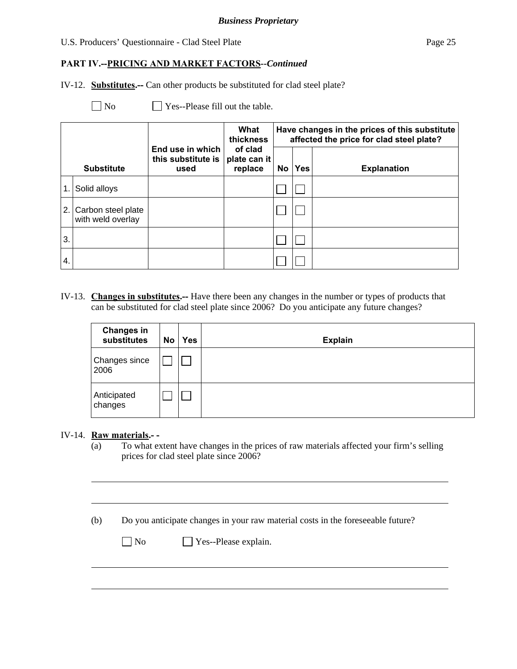## **PART IV.--PRICING AND MARKET FACTORS***--Continued*

IV-12. **Substitutes.--** Can other products be substituted for clad steel plate?

 $\Box$  No  $\Box$  Yes--Please fill out the table.

|     |                                         |                                                | What<br>thickness                  |    |            | Have changes in the prices of this substitute<br>affected the price for clad steel plate? |
|-----|-----------------------------------------|------------------------------------------------|------------------------------------|----|------------|-------------------------------------------------------------------------------------------|
|     | <b>Substitute</b>                       | End use in which<br>this substitute is<br>used | of clad<br>plate can it<br>replace | No | <b>Yes</b> | <b>Explanation</b>                                                                        |
| 1.  | Solid alloys                            |                                                |                                    |    |            |                                                                                           |
| 2.1 | Carbon steel plate<br>with weld overlay |                                                |                                    |    |            |                                                                                           |
| 3.  |                                         |                                                |                                    |    |            |                                                                                           |
| 4.  |                                         |                                                |                                    |    |            |                                                                                           |

IV-13. **Changes in substitutes.--** Have there been any changes in the number or types of products that can be substituted for clad steel plate since 2006? Do you anticipate any future changes?

| <b>Changes in</b><br>substitutes | No | Yes | <b>Explain</b> |
|----------------------------------|----|-----|----------------|
| <b>Changes since</b><br>2006     |    |     |                |
| Anticipated<br>changes           |    |     |                |

## IV-14. **Raw materials.- -**

l

 $\overline{a}$ 

(a) To what extent have changes in the prices of raw materials affected your firm's selling prices for clad steel plate since 2006?

(b) Do you anticipate changes in your raw material costs in the foreseeable future?

| $\Box$ No | $\Box$ Yes--Please explain. |
|-----------|-----------------------------|
|-----------|-----------------------------|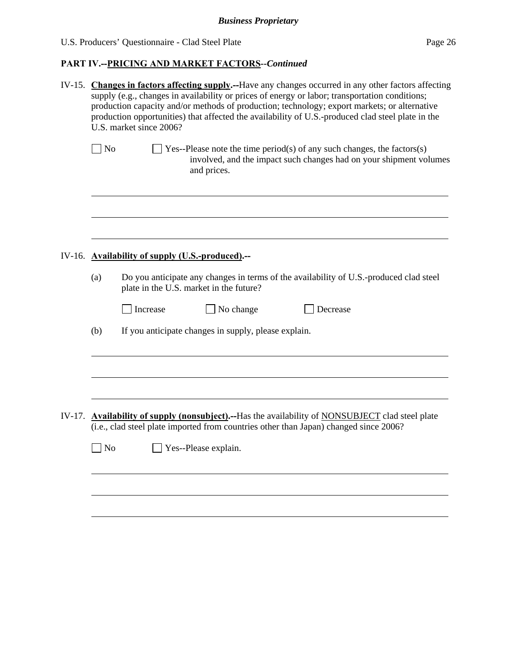# **PART IV.--PRICING AND MARKET FACTORS***--Continued*

| IV-15. Changes in factors affecting supply.--Have any changes occurred in any other factors affecting<br>supply (e.g., changes in availability or prices of energy or labor; transportation conditions;<br>production capacity and/or methods of production; technology; export markets; or alternative<br>production opportunities) that affected the availability of U.S.-produced clad steel plate in the<br>U.S. market since 2006? |                                                                                                                                                                                           |  |  |  |
|-----------------------------------------------------------------------------------------------------------------------------------------------------------------------------------------------------------------------------------------------------------------------------------------------------------------------------------------------------------------------------------------------------------------------------------------|-------------------------------------------------------------------------------------------------------------------------------------------------------------------------------------------|--|--|--|
| N <sub>o</sub>                                                                                                                                                                                                                                                                                                                                                                                                                          | $\Box$ Yes--Please note the time period(s) of any such changes, the factors(s)<br>involved, and the impact such changes had on your shipment volumes<br>and prices.                       |  |  |  |
|                                                                                                                                                                                                                                                                                                                                                                                                                                         |                                                                                                                                                                                           |  |  |  |
|                                                                                                                                                                                                                                                                                                                                                                                                                                         | IV-16. Availability of supply (U.S.-produced).--                                                                                                                                          |  |  |  |
| (a)<br>Do you anticipate any changes in terms of the availability of U.S.-produced clad steel<br>plate in the U.S. market in the future?                                                                                                                                                                                                                                                                                                |                                                                                                                                                                                           |  |  |  |
|                                                                                                                                                                                                                                                                                                                                                                                                                                         | No change<br>Increase<br>Decrease                                                                                                                                                         |  |  |  |
| (b)                                                                                                                                                                                                                                                                                                                                                                                                                                     | If you anticipate changes in supply, please explain.                                                                                                                                      |  |  |  |
|                                                                                                                                                                                                                                                                                                                                                                                                                                         |                                                                                                                                                                                           |  |  |  |
|                                                                                                                                                                                                                                                                                                                                                                                                                                         | IV-17. Availability of supply (nonsubject).--Has the availability of NONSUBJECT clad steel plate<br>(i.e., clad steel plate imported from countries other than Japan) changed since 2006? |  |  |  |
| N <sub>o</sub>                                                                                                                                                                                                                                                                                                                                                                                                                          | Yes--Please explain.                                                                                                                                                                      |  |  |  |
|                                                                                                                                                                                                                                                                                                                                                                                                                                         |                                                                                                                                                                                           |  |  |  |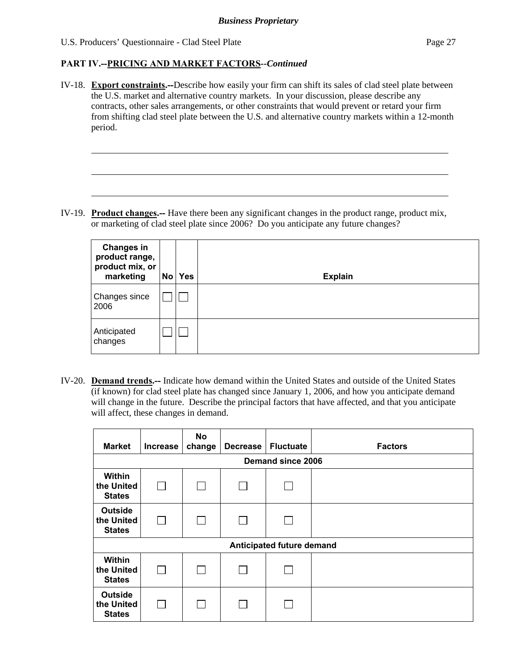l

#### **PART IV.--PRICING AND MARKET FACTORS***--Continued*

IV-18. **Export constraints.--**Describe how easily your firm can shift its sales of clad steel plate between the U.S. market and alternative country markets. In your discussion, please describe any contracts, other sales arrangements, or other constraints that would prevent or retard your firm from shifting clad steel plate between the U.S. and alternative country markets within a 12-month period.

IV-19. **Product changes.--** Have there been any significant changes in the product range, product mix, or marketing of clad steel plate since 2006? Do you anticipate any future changes?

| <b>Changes in</b><br>product range,<br>product mix, or<br>marketing | No | <b>Yes</b> | <b>Explain</b> |
|---------------------------------------------------------------------|----|------------|----------------|
| Changes since<br>2006                                               |    |            |                |
| Anticipated<br>changes                                              |    |            |                |

IV-20. **Demand trends.--** Indicate how demand within the United States and outside of the United States (if known) for clad steel plate has changed since January 1, 2006, and how you anticipate demand will change in the future. Describe the principal factors that have affected, and that you anticipate will affect, these changes in demand.

| <b>Market</b>                                 | <b>Increase</b> | <b>No</b><br>change | <b>Decrease</b> | <b>Fluctuate</b> | <b>Factors</b> |
|-----------------------------------------------|-----------------|---------------------|-----------------|------------------|----------------|
| Demand since 2006                             |                 |                     |                 |                  |                |
| Within<br>the United<br><b>States</b>         |                 |                     |                 |                  |                |
| <b>Outside</b><br>the United<br><b>States</b> | $\mathbf{L}$    |                     |                 |                  |                |
| Anticipated future demand                     |                 |                     |                 |                  |                |
| Within<br>the United<br><b>States</b>         |                 |                     |                 |                  |                |
| <b>Outside</b><br>the United<br><b>States</b> |                 |                     |                 |                  |                |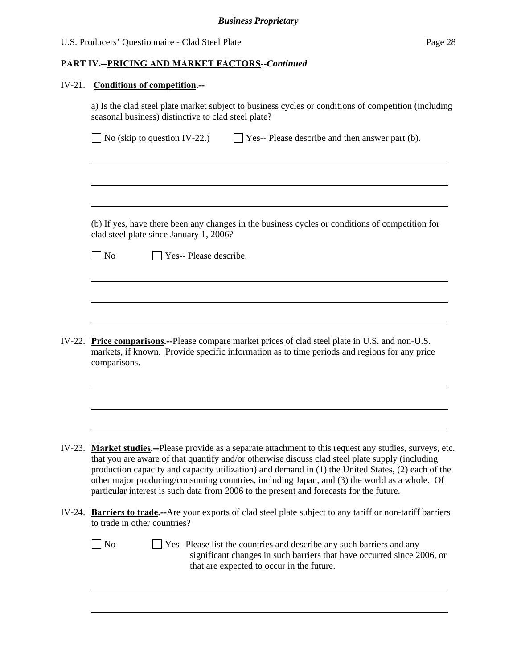#### **PART IV.--PRICING AND MARKET FACTORS***--Continued*

#### IV-21. **Conditions of competition.--**

 $\overline{a}$ 

 $\overline{a}$ 

l

l

a) Is the clad steel plate market subject to business cycles or conditions of competition (including seasonal business) distinctive to clad steel plate?

| $\Box$ No (skip to question IV-22.) | $\Box$ Yes-- Please describe and then answer part (b). |
|-------------------------------------|--------------------------------------------------------|
|-------------------------------------|--------------------------------------------------------|

 (b) If yes, have there been any changes in the business cycles or conditions of competition for clad steel plate since January 1, 2006?

|  | $\Box$ No |  |  |  | $\Box$ Yes-- Please describe. |
|--|-----------|--|--|--|-------------------------------|
|--|-----------|--|--|--|-------------------------------|

IV-22. **Price comparisons.--**Please compare market prices of clad steel plate in U.S. and non-U.S. markets, if known. Provide specific information as to time periods and regions for any price comparisons.

- IV-23. **Market studies.--**Please provide as a separate attachment to this request any studies, surveys, etc. that you are aware of that quantify and/or otherwise discuss clad steel plate supply (including production capacity and capacity utilization) and demand in (1) the United States, (2) each of the other major producing/consuming countries, including Japan, and (3) the world as a whole. Of particular interest is such data from 2006 to the present and forecasts for the future.
- IV-24. **Barriers to trade.--**Are your exports of clad steel plate subject to any tariff or non-tariff barriers to trade in other countries?

 $\Box$  No  $\Box$  Yes--Please list the countries and describe any such barriers and any significant changes in such barriers that have occurred since 2006, or that are expected to occur in the future.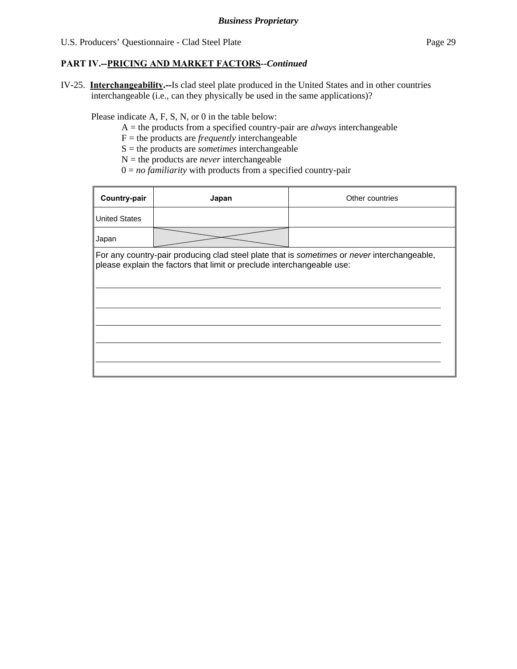### **PART IV.--PRICING AND MARKET FACTORS***--Continued*

IV-25. **Interchangeability.--**Is clad steel plate produced in the United States and in other countries interchangeable (i.e., can they physically be used in the same applications)?

Please indicate A, F, S, N, or 0 in the table below:

- A = the products from a specified country-pair are *always* interchangeable
- $F =$  the products are *frequently* interchangeable
- S = the products are *sometimes* interchangeable
- $N =$  the products are *never* interchangeable
- $0 = no$  *familiarity* with products from a specified country-pair

| Country-pair         | Japan                                                                  | Other countries                                                                             |
|----------------------|------------------------------------------------------------------------|---------------------------------------------------------------------------------------------|
| <b>United States</b> |                                                                        |                                                                                             |
| Japan                |                                                                        |                                                                                             |
|                      | please explain the factors that limit or preclude interchangeable use: | For any country-pair producing clad steel plate that is sometimes or never interchangeable, |